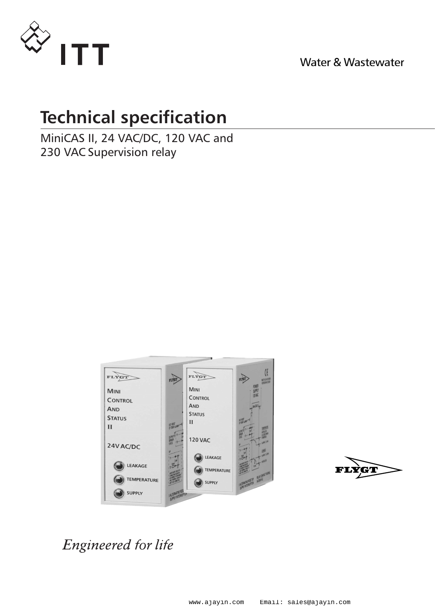

Water & Wastewater

# **Technical specification**

MiniCAS II, 24 VAC/DC, 120 VAC and 230 VAC Supervision relay





Engineered for life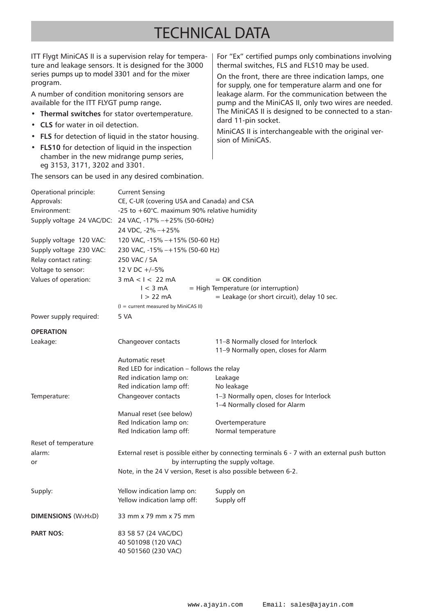# TECHNICAL DATA

ITT Flygt MiniCAS II is a supervision relay for temperature and leakage sensors. It is designed for the 3000 series pumps up to model 3301 and for the mixer program.

A number of condition monitoring sensors are available for the ITT FLYGT pump range**.**

- **• Thermal switches** for stator overtemperature.
- **CLS** for water in oil detection.
- **FLS** for detection of liquid in the stator housing.
- **FLS10** for detection of liquid in the inspection chamber in the new midrange pump series, eg 3153, 3171, 3202 and 3301.

The sensors can be used in any desired combination.

For "Ex" certified pumps only combinations involving thermal switches, FLS and FLS10 may be used.

On the front, there are three indication lamps, one for supply, one for temperature alarm and one for leakage alarm. For the communication between the pump and the MiniCAS II, only two wires are needed. The MiniCAS II is designed to be connected to a standard 11-pin socket.

MiniCAS II is interchangeable with the original version of MiniCAS.

| Operational principle:    | <b>Current Sensing</b>                                                                       |                                                                          |
|---------------------------|----------------------------------------------------------------------------------------------|--------------------------------------------------------------------------|
| Approvals:                | CE, C-UR (covering USA and Canada) and CSA                                                   |                                                                          |
| Environment:              | -25 to +60°C. maximum 90% relative humidity                                                  |                                                                          |
|                           | Supply voltage 24 VAC/DC: 24 VAC, -17% -+25% (50-60Hz)                                       |                                                                          |
|                           | 24 VDC, -2% -+25%                                                                            |                                                                          |
| Supply voltage 120 VAC:   | 120 VAC, -15% -+15% (50-60 Hz)                                                               |                                                                          |
| Supply voltage 230 VAC:   | 230 VAC, -15% -+15% (50-60 Hz)                                                               |                                                                          |
| Relay contact rating:     | 250 VAC / 5A                                                                                 |                                                                          |
| Voltage to sensor:        | 12 V DC $+/-5%$                                                                              |                                                                          |
| Values of operation:      | $3 \text{ mA} < I < 22 \text{ mA}$                                                           | = OK condition                                                           |
|                           | $1 < 3$ mA                                                                                   | = High Temperature (or interruption)                                     |
|                           | $1 > 22$ mA                                                                                  | $=$ Leakage (or short circuit), delay 10 sec.                            |
|                           | $(I = current measured by MiniCAS II)$                                                       |                                                                          |
| Power supply required:    | 5 VA                                                                                         |                                                                          |
| <b>OPERATION</b>          |                                                                                              |                                                                          |
| Leakage:                  | Changeover contacts                                                                          | 11-8 Normally closed for Interlock                                       |
|                           |                                                                                              | 11-9 Normally open, closes for Alarm                                     |
|                           | Automatic reset                                                                              |                                                                          |
|                           | Red LED for indication - follows the relay                                                   |                                                                          |
|                           | Red indication lamp on:                                                                      | Leakage                                                                  |
|                           | Red indication lamp off:                                                                     | No leakage                                                               |
| Temperature:              | Changeover contacts                                                                          | 1-3 Normally open, closes for Interlock<br>1-4 Normally closed for Alarm |
|                           | Manual reset (see below)                                                                     |                                                                          |
|                           | Red Indication lamp on:                                                                      | Overtemperature                                                          |
|                           | Red Indication lamp off:                                                                     | Normal temperature                                                       |
| Reset of temperature      |                                                                                              |                                                                          |
| alarm:                    | External reset is possible either by connecting terminals 6 - 7 with an external push button |                                                                          |
| or                        | by interrupting the supply voltage.                                                          |                                                                          |
|                           | Note, in the 24 V version, Reset is also possible between 6-2.                               |                                                                          |
| Supply:                   | Yellow indication lamp on:                                                                   | Supply on                                                                |
|                           | Yellow indication lamp off:                                                                  | Supply off                                                               |
| <b>DIMENSIONS (WxHxD)</b> | 33 mm x 79 mm x 75 mm                                                                        |                                                                          |
| <b>PART NOS:</b>          | 83 58 57 (24 VAC/DC)                                                                         |                                                                          |
|                           | 40 501098 (120 VAC)<br>40 501560 (230 VAC)                                                   |                                                                          |
|                           |                                                                                              |                                                                          |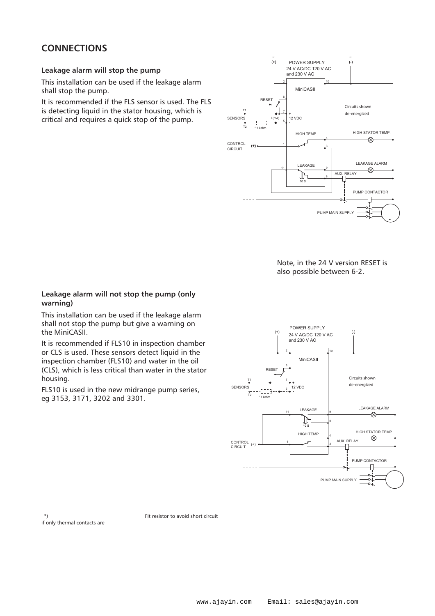## **CONNECTIONS**

### **Leakage alarm will stop the pump**

This installation can be used if the leakage alarm shall stop the pump.

It is recommended if the FLS sensor is used. The FLS is detecting liquid in the stator housing, which is critical and requires a quick stop of the pump.



Note, in the 24 V version RESET is also possible between 6-2.

### **Leakage alarm will not stop the pump (only warning)**

This installation can be used if the leakage alarm shall not stop the pump but give a warning on the MiniCASII.

It is recommended if FLS10 in inspection chamber or CLS is used. These sensors detect liquid in the inspection chamber (FLS10) and water in the oil (CLS), which is less critical than water in the stator housing.

FLS10 is used in the new midrange pump series, eg 3153, 3171, 3202 and 3301.



if only thermal contacts are

\*\*) Fit resistor to avoid short circuit